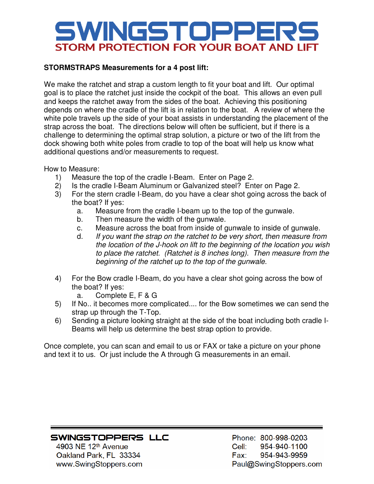## SWINGSTOPPER STORM PROTECTION FOR YOUR BOAT AND LIFT

## **STORMSTRAPS Measurements for a 4 post lift:**

We make the ratchet and strap a custom length to fit your boat and lift. Our optimal goal is to place the ratchet just inside the cockpit of the boat. This allows an even pull and keeps the ratchet away from the sides of the boat. Achieving this positioning depends on where the cradle of the lift is in relation to the boat. A review of where the white pole travels up the side of your boat assists in understanding the placement of the strap across the boat. The directions below will often be sufficient, but if there is a challenge to determining the optimal strap solution, a picture or two of the lift from the dock showing both white poles from cradle to top of the boat will help us know what additional questions and/or measurements to request.

How to Measure:

- 1) Measure the top of the cradle I-Beam. Enter on Page 2.
- 2) Is the cradle I-Beam Aluminum or Galvanized steel? Enter on Page 2.
- 3) For the stern cradle I-Beam, do you have a clear shot going across the back of the boat? If yes:
	- a. Measure from the cradle I-beam up to the top of the gunwale.
	- b. Then measure the width of the gunwale.
	- c. Measure across the boat from inside of gunwale to inside of gunwale.
	- d. If you want the strap on the ratchet to be very short, then measure from the location of the J-hook on lift to the beginning of the location you wish to place the ratchet. (Ratchet is 8 inches long). Then measure from the beginning of the ratchet up to the top of the gunwale.
- 4) For the Bow cradle I-Beam, do you have a clear shot going across the bow of the boat? If yes:
	- a. Complete E, F & G
- 5) If No.. it becomes more complicated.... for the Bow sometimes we can send the strap up through the T-Top.
- 6) Sending a picture looking straight at the side of the boat including both cradle I-Beams will help us determine the best strap option to provide.

Once complete, you can scan and email to us or FAX or take a picture on your phone and text it to us. Or just include the A through G measurements in an email.

## SWINGSTOPPERS LLC

4903 NE 12<sup>th</sup> Avenue Oakland Park, FL 33334 www.SwingStoppers.com

Phone: 800-998-0203 Cell: 954-940-1100 Fax: 954-943-9959 Paul@SwingStoppers.com